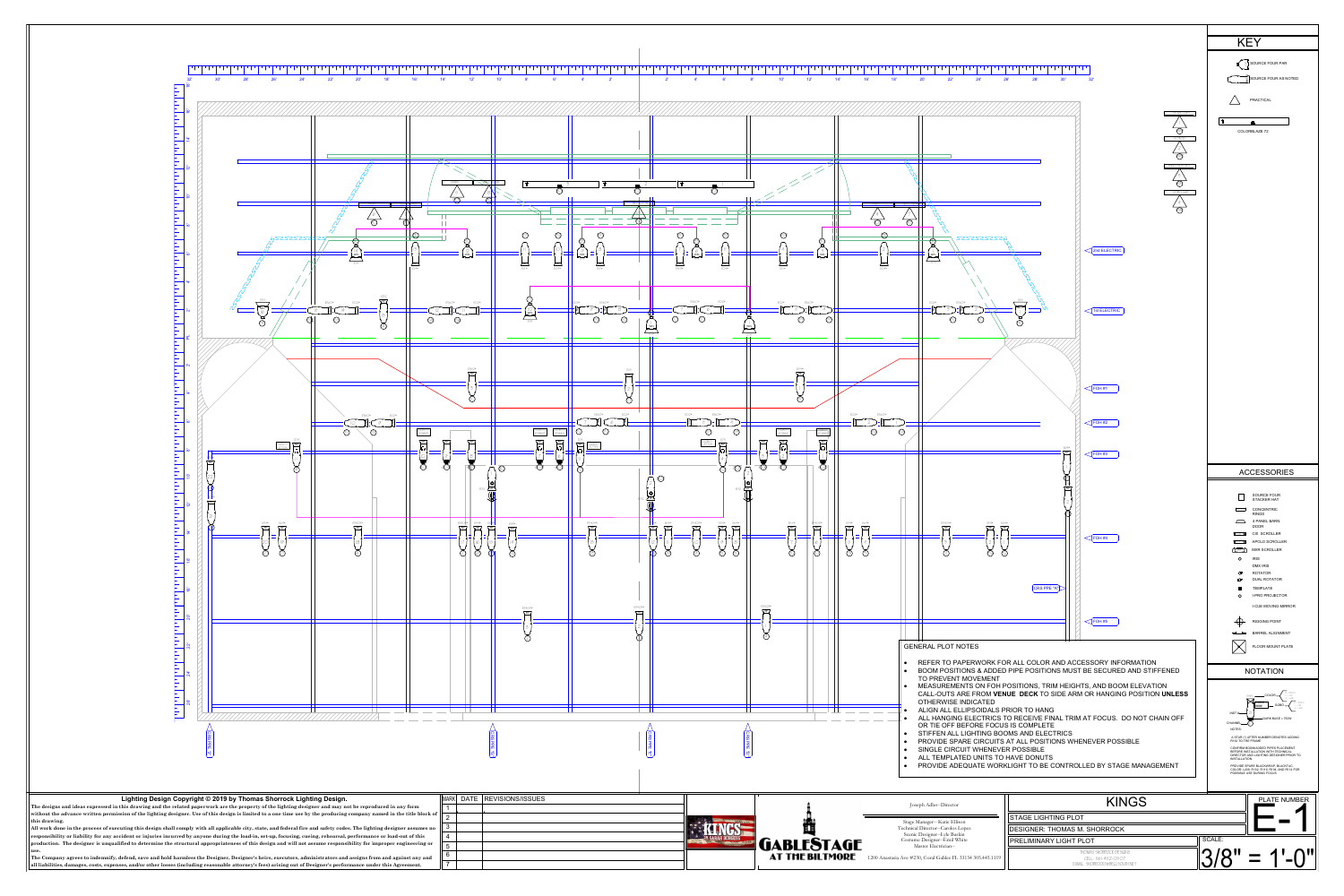